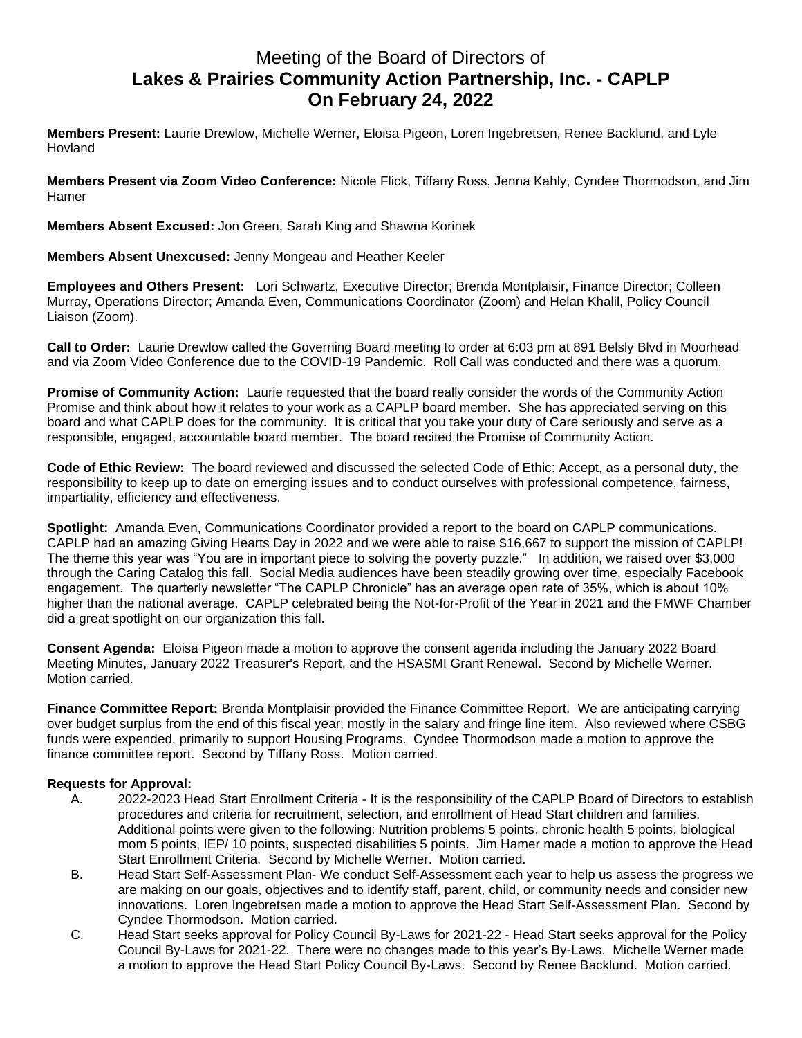## Meeting of the Board of Directors of **Lakes & Prairies Community Action Partnership, Inc. - CAPLP On February 24, 2022**

**Members Present:** Laurie Drewlow, Michelle Werner, Eloisa Pigeon, Loren Ingebretsen, Renee Backlund, and Lyle Hovland

**Members Present via Zoom Video Conference:** Nicole Flick, Tiffany Ross, Jenna Kahly, Cyndee Thormodson, and Jim Hamer

**Members Absent Excused:** Jon Green, Sarah King and Shawna Korinek

**Members Absent Unexcused:** Jenny Mongeau and Heather Keeler

**Employees and Others Present:** Lori Schwartz, Executive Director; Brenda Montplaisir, Finance Director; Colleen Murray, Operations Director; Amanda Even, Communications Coordinator (Zoom) and Helan Khalil, Policy Council Liaison (Zoom).

**Call to Order:** Laurie Drewlow called the Governing Board meeting to order at 6:03 pm at 891 Belsly Blvd in Moorhead and via Zoom Video Conference due to the COVID-19 Pandemic. Roll Call was conducted and there was a quorum.

**Promise of Community Action:** Laurie requested that the board really consider the words of the Community Action Promise and think about how it relates to your work as a CAPLP board member. She has appreciated serving on this board and what CAPLP does for the community. It is critical that you take your duty of Care seriously and serve as a responsible, engaged, accountable board member. The board recited the Promise of Community Action.

**Code of Ethic Review:** The board reviewed and discussed the selected Code of Ethic: Accept, as a personal duty, the responsibility to keep up to date on emerging issues and to conduct ourselves with professional competence, fairness, impartiality, efficiency and effectiveness.

**Spotlight:** Amanda Even, Communications Coordinator provided a report to the board on CAPLP communications. CAPLP had an amazing Giving Hearts Day in 2022 and we were able to raise \$16,667 to support the mission of CAPLP! The theme this year was "You are in important piece to solving the poverty puzzle." In addition, we raised over \$3,000 through the Caring Catalog this fall. Social Media audiences have been steadily growing over time, especially Facebook engagement. The quarterly newsletter "The CAPLP Chronicle" has an average open rate of 35%, which is about 10% higher than the national average. CAPLP celebrated being the Not-for-Profit of the Year in 2021 and the FMWF Chamber did a great spotlight on our organization this fall.

**Consent Agenda:** Eloisa Pigeon made a motion to approve the consent agenda including the January 2022 Board Meeting Minutes, January 2022 Treasurer's Report, and the HSASMI Grant Renewal. Second by Michelle Werner. Motion carried.

**Finance Committee Report:** Brenda Montplaisir provided the Finance Committee Report. We are anticipating carrying over budget surplus from the end of this fiscal year, mostly in the salary and fringe line item. Also reviewed where CSBG funds were expended, primarily to support Housing Programs. Cyndee Thormodson made a motion to approve the finance committee report. Second by Tiffany Ross. Motion carried.

## **Requests for Approval:**

- A. 2022-2023 Head Start Enrollment Criteria It is the responsibility of the CAPLP Board of Directors to establish procedures and criteria for recruitment, selection, and enrollment of Head Start children and families. Additional points were given to the following: Nutrition problems 5 points, chronic health 5 points, biological mom 5 points, IEP/ 10 points, suspected disabilities 5 points. Jim Hamer made a motion to approve the Head Start Enrollment Criteria. Second by Michelle Werner. Motion carried.
- B. Head Start Self-Assessment Plan- We conduct Self-Assessment each year to help us assess the progress we are making on our goals, objectives and to identify staff, parent, child, or community needs and consider new innovations. Loren Ingebretsen made a motion to approve the Head Start Self-Assessment Plan. Second by Cyndee Thormodson. Motion carried.
- C. Head Start seeks approval for Policy Council By-Laws for 2021-22 Head Start seeks approval for the Policy Council By-Laws for 2021-22. There were no changes made to this year's By-Laws. Michelle Werner made a motion to approve the Head Start Policy Council By-Laws. Second by Renee Backlund. Motion carried.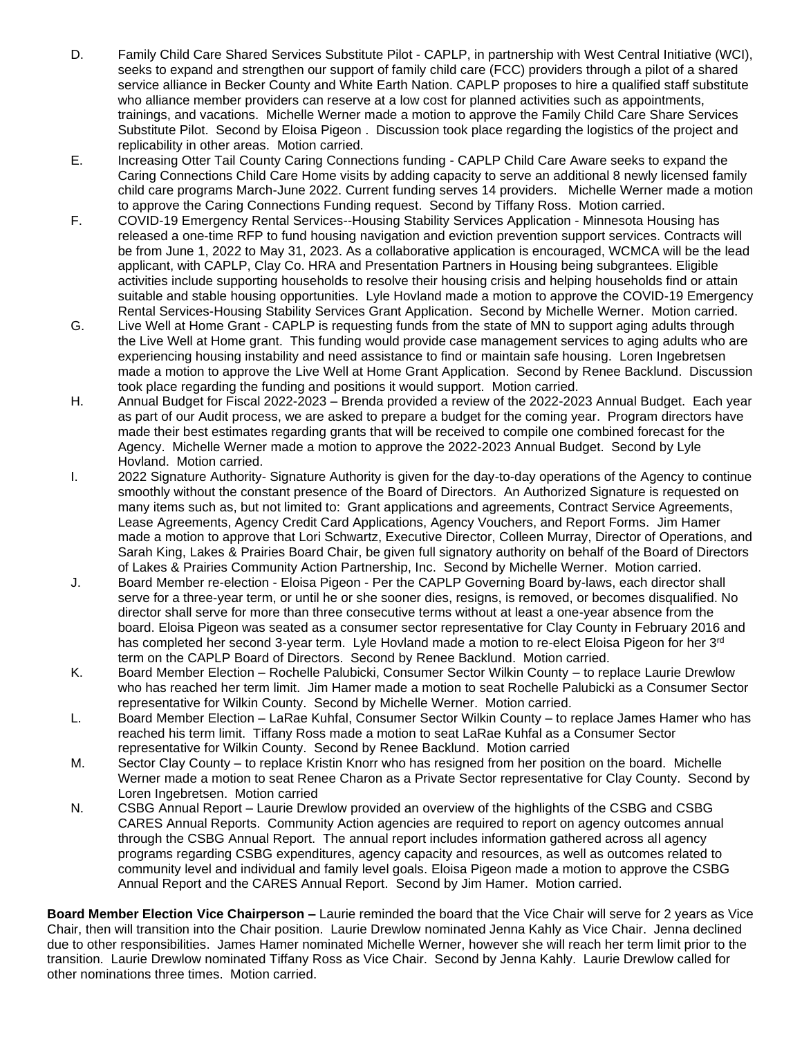- D. Family Child Care Shared Services Substitute Pilot CAPLP, in partnership with West Central Initiative (WCI), seeks to expand and strengthen our support of family child care (FCC) providers through a pilot of a shared service alliance in Becker County and White Earth Nation. CAPLP proposes to hire a qualified staff substitute who alliance member providers can reserve at a low cost for planned activities such as appointments, trainings, and vacations. Michelle Werner made a motion to approve the Family Child Care Share Services Substitute Pilot. Second by Eloisa Pigeon . Discussion took place regarding the logistics of the project and replicability in other areas. Motion carried.
- E. Increasing Otter Tail County Caring Connections funding CAPLP Child Care Aware seeks to expand the Caring Connections Child Care Home visits by adding capacity to serve an additional 8 newly licensed family child care programs March-June 2022. Current funding serves 14 providers. Michelle Werner made a motion to approve the Caring Connections Funding request. Second by Tiffany Ross. Motion carried.
- F. COVID-19 Emergency Rental Services--Housing Stability Services Application Minnesota Housing has released a one-time RFP to fund housing navigation and eviction prevention support services. Contracts will be from June 1, 2022 to May 31, 2023. As a collaborative application is encouraged, WCMCA will be the lead applicant, with CAPLP, Clay Co. HRA and Presentation Partners in Housing being subgrantees. Eligible activities include supporting households to resolve their housing crisis and helping households find or attain suitable and stable housing opportunities. Lyle Hovland made a motion to approve the COVID-19 Emergency Rental Services-Housing Stability Services Grant Application. Second by Michelle Werner. Motion carried.
- G. Live Well at Home Grant CAPLP is requesting funds from the state of MN to support aging adults through the Live Well at Home grant. This funding would provide case management services to aging adults who are experiencing housing instability and need assistance to find or maintain safe housing. Loren Ingebretsen made a motion to approve the Live Well at Home Grant Application. Second by Renee Backlund. Discussion took place regarding the funding and positions it would support. Motion carried.
- H. Annual Budget for Fiscal 2022-2023 Brenda provided a review of the 2022-2023 Annual Budget. Each year as part of our Audit process, we are asked to prepare a budget for the coming year. Program directors have made their best estimates regarding grants that will be received to compile one combined forecast for the Agency. Michelle Werner made a motion to approve the 2022-2023 Annual Budget. Second by Lyle Hovland. Motion carried.
- I. 2022 Signature Authority- Signature Authority is given for the day-to-day operations of the Agency to continue smoothly without the constant presence of the Board of Directors. An Authorized Signature is requested on many items such as, but not limited to: Grant applications and agreements, Contract Service Agreements, Lease Agreements, Agency Credit Card Applications, Agency Vouchers, and Report Forms. Jim Hamer made a motion to approve that Lori Schwartz, Executive Director, Colleen Murray, Director of Operations, and Sarah King, Lakes & Prairies Board Chair, be given full signatory authority on behalf of the Board of Directors of Lakes & Prairies Community Action Partnership, Inc. Second by Michelle Werner. Motion carried.
- J. Board Member re-election Eloisa Pigeon Per the CAPLP Governing Board by-laws, each director shall serve for a three-year term, or until he or she sooner dies, resigns, is removed, or becomes disqualified. No director shall serve for more than three consecutive terms without at least a one-year absence from the board. Eloisa Pigeon was seated as a consumer sector representative for Clay County in February 2016 and has completed her second 3-year term. Lyle Hovland made a motion to re-elect Eloisa Pigeon for her 3<sup>rd</sup> term on the CAPLP Board of Directors. Second by Renee Backlund. Motion carried.
- K. Board Member Election Rochelle Palubicki, Consumer Sector Wilkin County to replace Laurie Drewlow who has reached her term limit. Jim Hamer made a motion to seat Rochelle Palubicki as a Consumer Sector representative for Wilkin County. Second by Michelle Werner. Motion carried.
- L. Board Member Election LaRae Kuhfal, Consumer Sector Wilkin County to replace James Hamer who has reached his term limit. Tiffany Ross made a motion to seat LaRae Kuhfal as a Consumer Sector representative for Wilkin County. Second by Renee Backlund. Motion carried
- M. Sector Clay County to replace Kristin Knorr who has resigned from her position on the board. Michelle Werner made a motion to seat Renee Charon as a Private Sector representative for Clay County. Second by Loren Ingebretsen. Motion carried
- N. CSBG Annual Report Laurie Drewlow provided an overview of the highlights of the CSBG and CSBG CARES Annual Reports. Community Action agencies are required to report on agency outcomes annual through the CSBG Annual Report. The annual report includes information gathered across all agency programs regarding CSBG expenditures, agency capacity and resources, as well as outcomes related to community level and individual and family level goals. Eloisa Pigeon made a motion to approve the CSBG Annual Report and the CARES Annual Report. Second by Jim Hamer. Motion carried.

**Board Member Election Vice Chairperson –** Laurie reminded the board that the Vice Chair will serve for 2 years as Vice Chair, then will transition into the Chair position. Laurie Drewlow nominated Jenna Kahly as Vice Chair. Jenna declined due to other responsibilities. James Hamer nominated Michelle Werner, however she will reach her term limit prior to the transition. Laurie Drewlow nominated Tiffany Ross as Vice Chair. Second by Jenna Kahly. Laurie Drewlow called for other nominations three times. Motion carried.